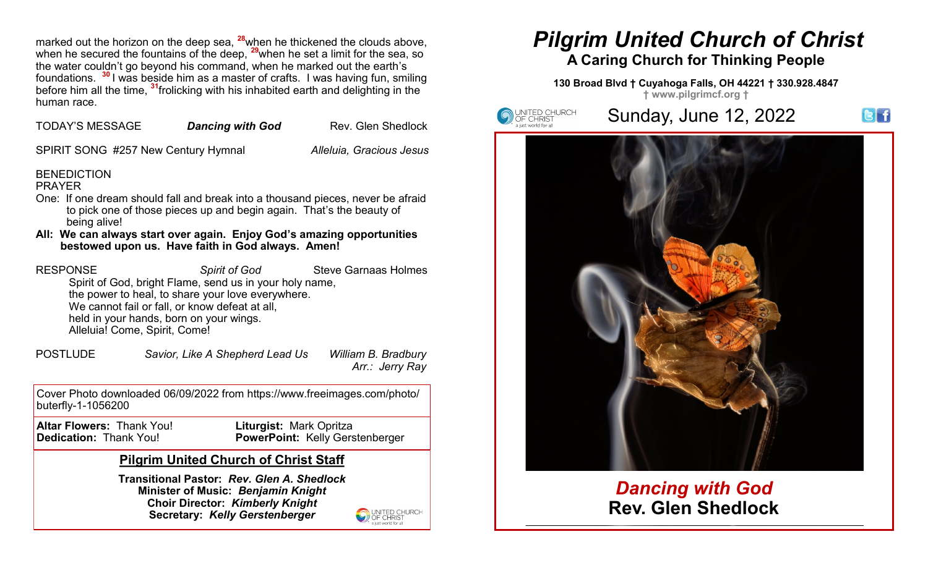marked out the horizon on the deep sea, **<sup>28</sup>**when he thickened the clouds above, when he secured the fountains of the deep, <sup>29</sup>when he set a limit for the sea, so the water couldn't go beyond his command, when he marked out the earth's foundations. **<sup>30</sup>** I was beside him as a master of crafts. I was having fun, smiling before him all the time, **<sup>31</sup>**frolicking with his inhabited earth and delighting in the human race.

| <b>TODAY'S MESSAGE</b> | <b>Dancing with God</b> | <b>Rev. Glen Shedlock</b> |
|------------------------|-------------------------|---------------------------|
|                        |                         |                           |

SPIRIT SONG #257 New Century Hymnal *Alleluia, Gracious Jesus*

# **BENEDICTION**

#### PRAYER

- One: If one dream should fall and break into a thousand pieces, never be afraid to pick one of those pieces up and begin again. That's the beauty of being alive!
- **All: We can always start over again. Enjoy God's amazing opportunities bestowed upon us. Have faith in God always. Amen!**

**RESPONSE Spirit of God** Steve Garnaas Holmes

Spirit of God, bright Flame, send us in your holy name, the power to heal, to share your love everywhere. We cannot fail or fall, or know defeat at all, held in your hands, born on your wings. Alleluia! Come, Spirit, Come!

POSTLUDE *Savior, Like A Shepherd Lead Us William B. Bradbury Arr.: Jerry Ray*

Cover Photo downloaded 06/09/2022 from https://www.freeimages.com/photo/ buterfly-1-1056200

**Altar Flowers:** Thank You! **Liturgist:** Mark Opritza

**PowerPoint: Kelly Gerstenberger** 

# **Pilgrim United Church of Christ Staff**

**Transitional Pastor:** *Rev. Glen A. Shedlock* **Minister of Music:** *Benjamin Knight* **Choir Director:** *Kimberly Knight* **Secretary:** *Kelly Gerstenberger*



# *Pilgrim United Church of Christ* **A Caring Church for Thinking People**

#### **130 Broad Blvd † Cuyahoga Falls, OH 44221 † 330.928.4847 † www.pilgrimcf.org †**



# *Dancing with God* **Rev. Glen Shedlock**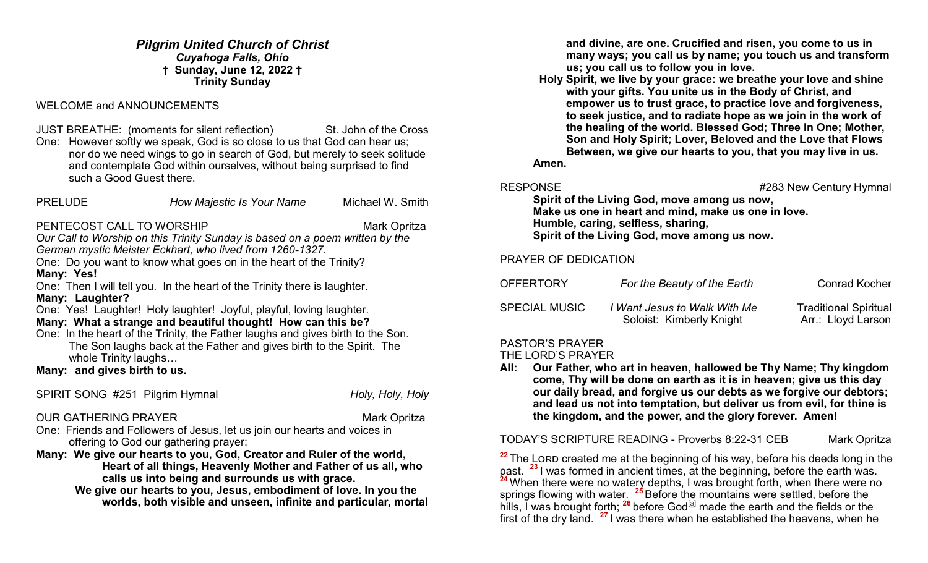*Pilgrim United Church of Christ Cuyahoga Falls, Ohio* **† Sunday, June 12, 2022 † Trinity Sunday**

# WELCOME and ANNOUNCEMENTS

JUST BREATHE: (moments for silent reflection) St. John of the Cross

One: However softly we speak, God is so close to us that God can hear us; nor do we need wings to go in search of God, but merely to seek solitude and contemplate God within ourselves, without being surprised to find such a Good Guest there.

| <b>PRELUDE</b> | How Majestic Is Your Name | Michael W. Smith |
|----------------|---------------------------|------------------|
|                |                           |                  |

#### PENTECOST CALL TO WORSHIP Mark Opritza

*Our Call to Worship on this Trinity Sunday is based on a poem written by the German mystic Meister Eckhart, who lived from 1260-1327.*

One: Do you want to know what goes on in the heart of the Trinity? **Many: Yes!**

One: Then I will tell you. In the heart of the Trinity there is laughter. **Many: Laughter?** 

One: Yes! Laughter! Holy laughter! Joyful, playful, loving laughter.

# **Many: What a strange and beautiful thought! How can this be?**

One: In the heart of the Trinity, the Father laughs and gives birth to the Son. The Son laughs back at the Father and gives birth to the Spirit. The whole Trinity laughs…

**Many: and gives birth to us.** 

SPIRIT SONG #251 Pilgrim Hymnal *Holy, Holy, Holy, Holy*, Holy

## OUR GATHERING PRAYER MARK Opritza

One: Friends and Followers of Jesus, let us join our hearts and voices in offering to God our gathering prayer:

**Many: We give our hearts to you, God, Creator and Ruler of the world,** 

**Heart of all things, Heavenly Mother and Father of us all, who calls us into being and surrounds us with grace.**

 **We give our hearts to you, Jesus, embodiment of love. In you the worlds, both visible and unseen, infinite and particular, mortal**  **and divine, are one. Crucified and risen, you come to us in many ways; you call us by name; you touch us and transform us; you call us to follow you in love.**

 **Holy Spirit, we live by your grace: we breathe your love and shine with your gifts. You unite us in the Body of Christ, and empower us to trust grace, to practice love and forgiveness, to seek justice, and to radiate hope as we join in the work of the healing of the world. Blessed God; Three In One; Mother, Son and Holy Spirit; Lover, Beloved and the Love that Flows Between, we give our hearts to you, that you may live in us.** 

**Amen.**

RESPONSE #283 New Century Hymnal

**Spirit of the Living God, move among us now, Make us one in heart and mind, make us one in love. Humble, caring, selfless, sharing, Spirit of the Living God, move among us now.**

PRAYER OF DEDICATION

| <b>OFFERTORY</b>     | For the Beauty of the Earth                              | <b>Conrad Kocher</b>                               |
|----------------------|----------------------------------------------------------|----------------------------------------------------|
| <b>SPECIAL MUSIC</b> | I Want Jesus to Walk With Me<br>Soloist: Kimberly Knight | <b>Traditional Spiritual</b><br>Arr.: Lloyd Larson |

# PASTOR'S PRAYER

#### THE LORD'S PRAYER

**All: Our Father, who art in heaven, hallowed be Thy Name; Thy kingdom come, Thy will be done on earth as it is in heaven; give us this day our daily bread, and forgive us our debts as we forgive our debtors; and lead us not into temptation, but deliver us from evil, for thine is the kingdom, and the power, and the glory forever. Amen!**

TODAY'S SCRIPTURE READING - Proverbs 8:22-31 CEB Mark Opritza

<sup>22</sup> The Lorp created me at the beginning of his way, before his deeds long in the past. **<sup>23</sup>** I was formed in ancient times, at the beginning, before the earth was. **<sup>24</sup>** When there were no watery depths, I was brought forth, when there were no springs flowing with water. **<sup>25</sup>** Before the mountains were settled, before the hills. I was brought forth; <sup>26</sup> before God<sup>[[a\]](https://www.biblegateway.com/passage/?search=proverbs+8%3A22-31&version=CEB#fen-CEB-16629a)</sup> made the earth and the fields or the first of the dry land. **<sup>27</sup>** I was there when he established the heavens, when he